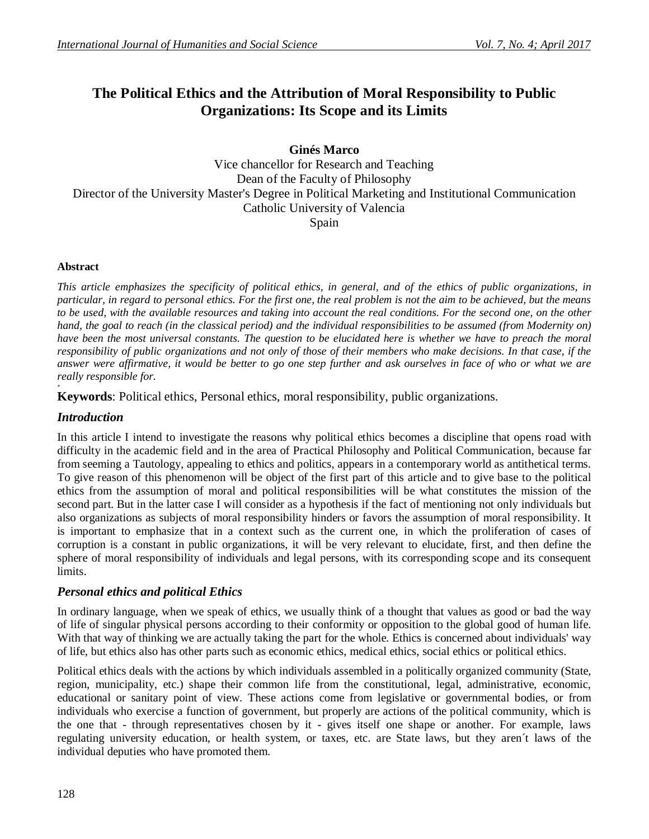# **The Political Ethics and the Attribution of Moral Responsibility to Public Organizations: Its Scope and its Limits**

**Ginés Marco**

Vice chancellor for Research and Teaching Dean of the Faculty of Philosophy Director of the University Master's Degree in Political Marketing and Institutional Communication Catholic University of Valencia

Spain

### **Abstract**

*This article emphasizes the specificity of political ethics, in general, and of the ethics of public organizations, in particular, in regard to personal ethics. For the first one, the real problem is not the aim to be achieved, but the means to be used, with the available resources and taking into account the real conditions. For the second one, on the other hand, the goal to reach (in the classical period) and the individual responsibilities to be assumed (from Modernity on) have been the most universal constants. The question to be elucidated here is whether we have to preach the moral responsibility of public organizations and not only of those of their members who make decisions. In that case, if the answer were affirmative, it would be better to go one step further and ask ourselves in face of who or what we are really responsible for.*

**+ Keywords**: Political ethics, Personal ethics, moral responsibility, public organizations.

### *Introduction*

In this article I intend to investigate the reasons why political ethics becomes a discipline that opens road with difficulty in the academic field and in the area of Practical Philosophy and Political Communication, because far from seeming a Tautology, appealing to ethics and politics, appears in a contemporary world as antithetical terms. To give reason of this phenomenon will be object of the first part of this article and to give base to the political ethics from the assumption of moral and political responsibilities will be what constitutes the mission of the second part. But in the latter case I will consider as a hypothesis if the fact of mentioning not only individuals but also organizations as subjects of moral responsibility hinders or favors the assumption of moral responsibility. It is important to emphasize that in a context such as the current one, in which the proliferation of cases of corruption is a constant in public organizations, it will be very relevant to elucidate, first, and then define the sphere of moral responsibility of individuals and legal persons, with its corresponding scope and its consequent limits.

### *Personal ethics and political Ethics*

In ordinary language, when we speak of ethics, we usually think of a thought that values as good or bad the way of life of singular physical persons according to their conformity or opposition to the global good of human life. With that way of thinking we are actually taking the part for the whole. Ethics is concerned about individuals' way of life, but ethics also has other parts such as economic ethics, medical ethics, social ethics or political ethics.

Political ethics deals with the actions by which individuals assembled in a politically organized community (State, region, municipality, etc.) shape their common life from the constitutional, legal, administrative, economic, educational or sanitary point of view. These actions come from legislative or governmental bodies, or from individuals who exercise a function of government, but properly are actions of the political community, which is the one that - through representatives chosen by it - gives itself one shape or another. For example, laws regulating university education, or health system, or taxes, etc. are State laws, but they aren´t laws of the individual deputies who have promoted them.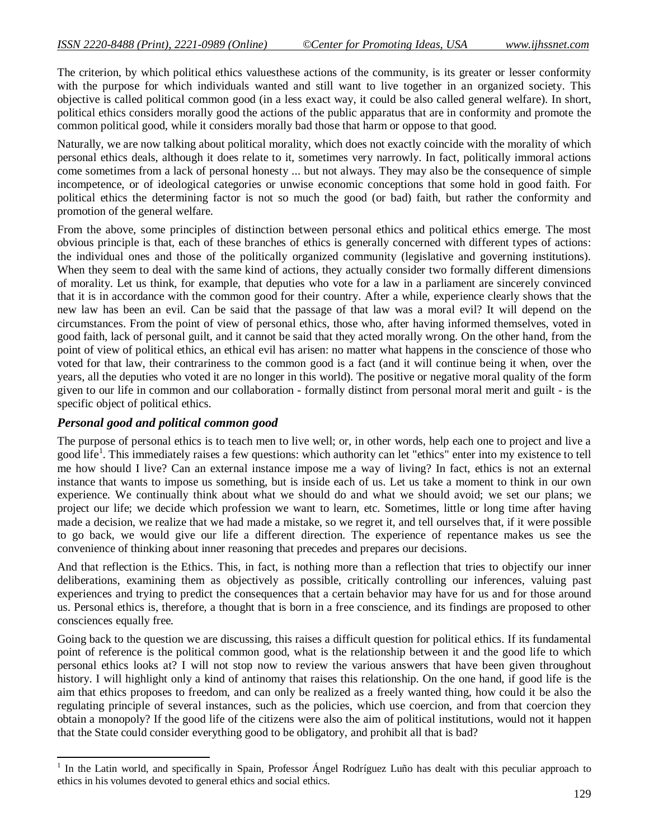The criterion, by which political ethics valuesthese actions of the community, is its greater or lesser conformity with the purpose for which individuals wanted and still want to live together in an organized society. This objective is called political common good (in a less exact way, it could be also called general welfare). In short, political ethics considers morally good the actions of the public apparatus that are in conformity and promote the common political good, while it considers morally bad those that harm or oppose to that good.

Naturally, we are now talking about political morality, which does not exactly coincide with the morality of which personal ethics deals, although it does relate to it, sometimes very narrowly. In fact, politically immoral actions come sometimes from a lack of personal honesty ... but not always. They may also be the consequence of simple incompetence, or of ideological categories or unwise economic conceptions that some hold in good faith. For political ethics the determining factor is not so much the good (or bad) faith, but rather the conformity and promotion of the general welfare.

From the above, some principles of distinction between personal ethics and political ethics emerge. The most obvious principle is that, each of these branches of ethics is generally concerned with different types of actions: the individual ones and those of the politically organized community (legislative and governing institutions). When they seem to deal with the same kind of actions, they actually consider two formally different dimensions of morality. Let us think, for example, that deputies who vote for a law in a parliament are sincerely convinced that it is in accordance with the common good for their country. After a while, experience clearly shows that the new law has been an evil. Can be said that the passage of that law was a moral evil? It will depend on the circumstances. From the point of view of personal ethics, those who, after having informed themselves, voted in good faith, lack of personal guilt, and it cannot be said that they acted morally wrong. On the other hand, from the point of view of political ethics, an ethical evil has arisen: no matter what happens in the conscience of those who voted for that law, their contrariness to the common good is a fact (and it will continue being it when, over the years, all the deputies who voted it are no longer in this world). The positive or negative moral quality of the form given to our life in common and our collaboration - formally distinct from personal moral merit and guilt - is the specific object of political ethics.

#### *Personal good and political common good*

The purpose of personal ethics is to teach men to live well; or, in other words, help each one to project and live a good life<sup>1</sup>. This immediately raises a few questions: which authority can let "ethics" enter into my existence to tell me how should I live? Can an external instance impose me a way of living? In fact, ethics is not an external instance that wants to impose us something, but is inside each of us. Let us take a moment to think in our own experience. We continually think about what we should do and what we should avoid; we set our plans; we project our life; we decide which profession we want to learn, etc. Sometimes, little or long time after having made a decision, we realize that we had made a mistake, so we regret it, and tell ourselves that, if it were possible to go back, we would give our life a different direction. The experience of repentance makes us see the convenience of thinking about inner reasoning that precedes and prepares our decisions.

And that reflection is the Ethics. This, in fact, is nothing more than a reflection that tries to objectify our inner deliberations, examining them as objectively as possible, critically controlling our inferences, valuing past experiences and trying to predict the consequences that a certain behavior may have for us and for those around us. Personal ethics is, therefore, a thought that is born in a free conscience, and its findings are proposed to other consciences equally free.

Going back to the question we are discussing, this raises a difficult question for political ethics. If its fundamental point of reference is the political common good, what is the relationship between it and the good life to which personal ethics looks at? I will not stop now to review the various answers that have been given throughout history. I will highlight only a kind of antinomy that raises this relationship. On the one hand, if good life is the aim that ethics proposes to freedom, and can only be realized as a freely wanted thing, how could it be also the regulating principle of several instances, such as the policies, which use coercion, and from that coercion they obtain a monopoly? If the good life of the citizens were also the aim of political institutions, would not it happen that the State could consider everything good to be obligatory, and prohibit all that is bad?

In the Latin world, and specifically in Spain, Professor Ángel Rodríguez Luño has dealt with this peculiar approach to ethics in his volumes devoted to general ethics and social ethics.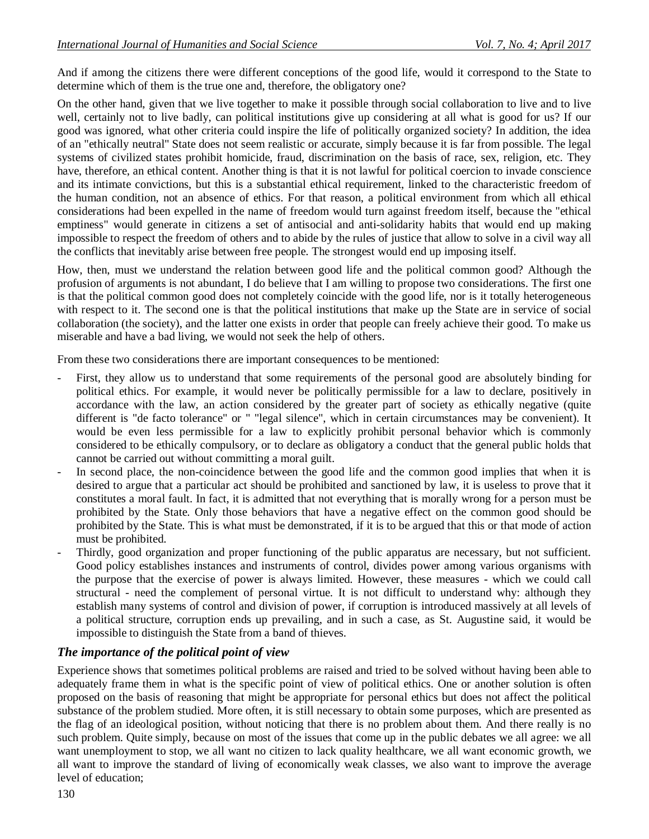And if among the citizens there were different conceptions of the good life, would it correspond to the State to determine which of them is the true one and, therefore, the obligatory one?

On the other hand, given that we live together to make it possible through social collaboration to live and to live well, certainly not to live badly, can political institutions give up considering at all what is good for us? If our good was ignored, what other criteria could inspire the life of politically organized society? In addition, the idea of an "ethically neutral" State does not seem realistic or accurate, simply because it is far from possible. The legal systems of civilized states prohibit homicide, fraud, discrimination on the basis of race, sex, religion, etc. They have, therefore, an ethical content. Another thing is that it is not lawful for political coercion to invade conscience and its intimate convictions, but this is a substantial ethical requirement, linked to the characteristic freedom of the human condition, not an absence of ethics. For that reason, a political environment from which all ethical considerations had been expelled in the name of freedom would turn against freedom itself, because the "ethical emptiness" would generate in citizens a set of antisocial and anti-solidarity habits that would end up making impossible to respect the freedom of others and to abide by the rules of justice that allow to solve in a civil way all the conflicts that inevitably arise between free people. The strongest would end up imposing itself.

How, then, must we understand the relation between good life and the political common good? Although the profusion of arguments is not abundant, I do believe that I am willing to propose two considerations. The first one is that the political common good does not completely coincide with the good life, nor is it totally heterogeneous with respect to it. The second one is that the political institutions that make up the State are in service of social collaboration (the society), and the latter one exists in order that people can freely achieve their good. To make us miserable and have a bad living, we would not seek the help of others.

From these two considerations there are important consequences to be mentioned:

- First, they allow us to understand that some requirements of the personal good are absolutely binding for political ethics. For example, it would never be politically permissible for a law to declare, positively in accordance with the law, an action considered by the greater part of society as ethically negative (quite different is "de facto tolerance" or " "legal silence", which in certain circumstances may be convenient). It would be even less permissible for a law to explicitly prohibit personal behavior which is commonly considered to be ethically compulsory, or to declare as obligatory a conduct that the general public holds that cannot be carried out without committing a moral guilt.
- In second place, the non-coincidence between the good life and the common good implies that when it is desired to argue that a particular act should be prohibited and sanctioned by law, it is useless to prove that it constitutes a moral fault. In fact, it is admitted that not everything that is morally wrong for a person must be prohibited by the State. Only those behaviors that have a negative effect on the common good should be prohibited by the State. This is what must be demonstrated, if it is to be argued that this or that mode of action must be prohibited.
- Thirdly, good organization and proper functioning of the public apparatus are necessary, but not sufficient. Good policy establishes instances and instruments of control, divides power among various organisms with the purpose that the exercise of power is always limited. However, these measures - which we could call structural - need the complement of personal virtue. It is not difficult to understand why: although they establish many systems of control and division of power, if corruption is introduced massively at all levels of a political structure, corruption ends up prevailing, and in such a case, as St. Augustine said, it would be impossible to distinguish the State from a band of thieves.

### *The importance of the political point of view*

Experience shows that sometimes political problems are raised and tried to be solved without having been able to adequately frame them in what is the specific point of view of political ethics. One or another solution is often proposed on the basis of reasoning that might be appropriate for personal ethics but does not affect the political substance of the problem studied. More often, it is still necessary to obtain some purposes, which are presented as the flag of an ideological position, without noticing that there is no problem about them. And there really is no such problem. Quite simply, because on most of the issues that come up in the public debates we all agree: we all want unemployment to stop, we all want no citizen to lack quality healthcare, we all want economic growth, we all want to improve the standard of living of economically weak classes, we also want to improve the average level of education;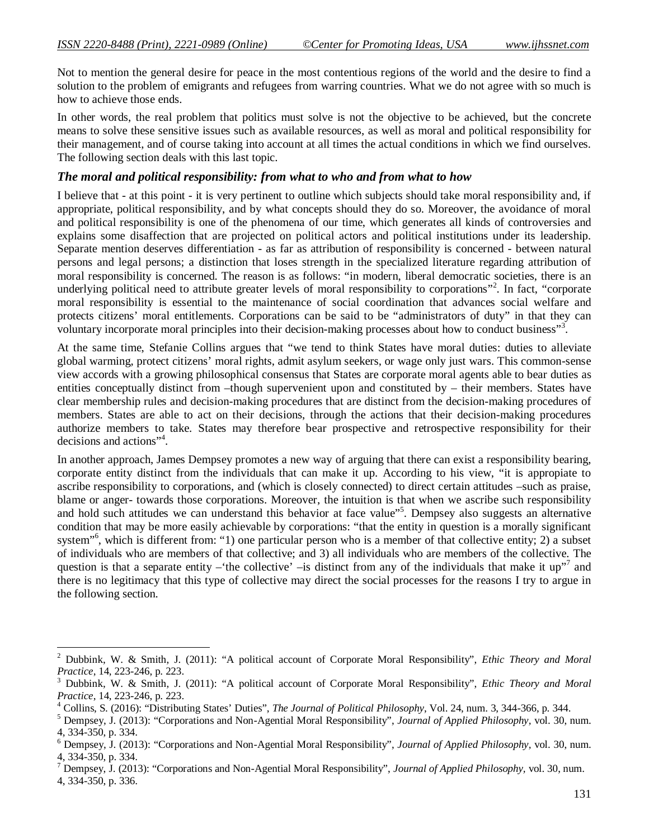Not to mention the general desire for peace in the most contentious regions of the world and the desire to find a solution to the problem of emigrants and refugees from warring countries. What we do not agree with so much is how to achieve those ends.

In other words, the real problem that politics must solve is not the objective to be achieved, but the concrete means to solve these sensitive issues such as available resources, as well as moral and political responsibility for their management, and of course taking into account at all times the actual conditions in which we find ourselves. The following section deals with this last topic.

### *The moral and political responsibility: from what to who and from what to how*

I believe that - at this point - it is very pertinent to outline which subjects should take moral responsibility and, if appropriate, political responsibility, and by what concepts should they do so. Moreover, the avoidance of moral and political responsibility is one of the phenomena of our time, which generates all kinds of controversies and explains some disaffection that are projected on political actors and political institutions under its leadership. Separate mention deserves differentiation - as far as attribution of responsibility is concerned - between natural persons and legal persons; a distinction that loses strength in the specialized literature regarding attribution of moral responsibility is concerned. The reason is as follows: "in modern, liberal democratic societies, there is an underlying political need to attribute greater levels of moral responsibility to corporations"<sup>2</sup>. In fact, "corporate moral responsibility is essential to the maintenance of social coordination that advances social welfare and protects citizens' moral entitlements. Corporations can be said to be "administrators of duty" in that they can voluntary incorporate moral principles into their decision-making processes about how to conduct business"<sup>3</sup>.

At the same time, Stefanie Collins argues that "we tend to think States have moral duties: duties to alleviate global warming, protect citizens' moral rights, admit asylum seekers, or wage only just wars. This common-sense view accords with a growing philosophical consensus that States are corporate moral agents able to bear duties as entities conceptually distinct from –though supervenient upon and constituted by – their members. States have clear membership rules and decision-making procedures that are distinct from the decision-making procedures of members. States are able to act on their decisions, through the actions that their decision-making procedures authorize members to take. States may therefore bear prospective and retrospective responsibility for their decisions and actions"<sup>4</sup>.

In another approach, James Dempsey promotes a new way of arguing that there can exist a responsibility bearing, corporate entity distinct from the individuals that can make it up. According to his view, "it is appropiate to ascribe responsibility to corporations, and (which is closely connected) to direct certain attitudes –such as praise, blame or anger- towards those corporations. Moreover, the intuition is that when we ascribe such responsibility and hold such attitudes we can understand this behavior at face value"<sup>5</sup>. Dempsey also suggests an alternative condition that may be more easily achievable by corporations: "that the entity in question is a morally significant system"<sup>6</sup>, which is different from: "1) one particular person who is a member of that collective entity; 2) a subset of individuals who are members of that collective; and 3) all individuals who are members of the collective. The question is that a separate entity – the collective'  $-i$ s distinct from any of the individuals that make it up"<sup>7</sup> and there is no legitimacy that this type of collective may direct the social processes for the reasons I try to argue in the following section.

 $\overline{\phantom{a}}$ <sup>2</sup> Dubbink, W. & Smith, J. (2011): "A political account of Corporate Moral Responsibility", *Ethic Theory and Moral Practice*, 14, 223-246, p. 223.

<sup>3</sup> Dubbink, W. & Smith, J. (2011): "A political account of Corporate Moral Responsibility", *Ethic Theory and Moral Practice*, 14, 223-246, p. 223.

<sup>4</sup> Collins, S. (2016): "Distributing States' Duties", *The Journal of Political Philosophy*, Vol. 24, num. 3, 344-366, p. 344.

<sup>5</sup> Dempsey, J. (2013): "Corporations and Non-Agential Moral Responsibility", *Journal of Applied Philosophy,* vol. 30, num. 4, 334-350, p. 334.

<sup>6</sup> Dempsey, J. (2013): "Corporations and Non-Agential Moral Responsibility", *Journal of Applied Philosophy,* vol. 30, num. 4, 334-350, p. 334.

<sup>7</sup> Dempsey, J. (2013): "Corporations and Non-Agential Moral Responsibility", *Journal of Applied Philosophy,* vol. 30, num. 4, 334-350, p. 336.